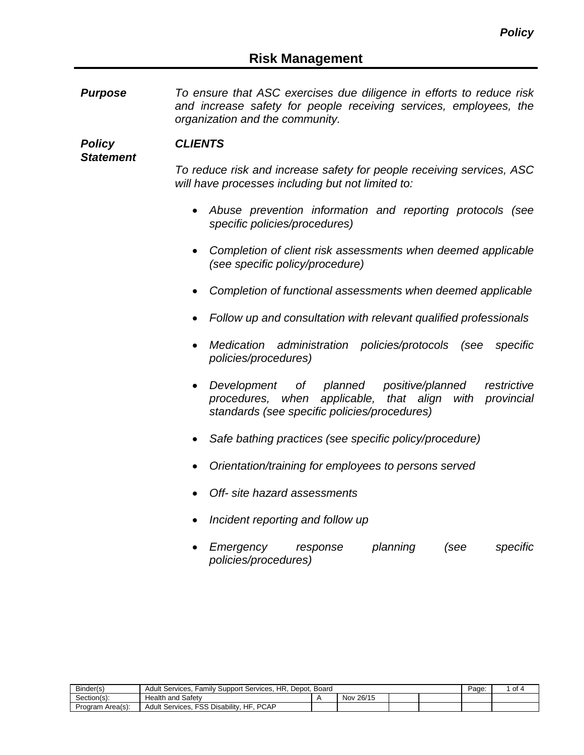*Purpose To ensure that ASC exercises due diligence in efforts to reduce risk and increase safety for people receiving services, employees, the organization and the community.*

*Policy Statement CLIENTS*

> *To reduce risk and increase safety for people receiving services, ASC will have processes including but not limited to:*

- *Abuse prevention information and reporting protocols (see specific policies/procedures)*
- *Completion of client risk assessments when deemed applicable (see specific policy/procedure)*
- *Completion of functional assessments when deemed applicable*
- *Follow up and consultation with relevant qualified professionals*
- *Medication administration policies/protocols (see specific policies/procedures)*
- *Development of planned positive/planned restrictive procedures, when applicable, that align with provincial standards (see specific policies/procedures)*
- *Safe bathing practices (see specific policy/procedure)*
- *Orientation/training for employees to persons served*
- *Off- site hazard assessments*
- *Incident reporting and follow up*
- *Emergency response planning (see specific policies/procedures)*

| Binder(s)        | HR.<br>Family Support Services.<br>Depot.<br>Board<br>Services.<br>Adult |  |              |  |  |  | οt |
|------------------|--------------------------------------------------------------------------|--|--------------|--|--|--|----|
| Section(s):      | <b>Health and Safety</b>                                                 |  | 26/15<br>Nov |  |  |  |    |
| Program Area(s): | <b>PCAP</b><br><b>FSS Disability</b><br>HF<br>Services.<br>Adult         |  |              |  |  |  |    |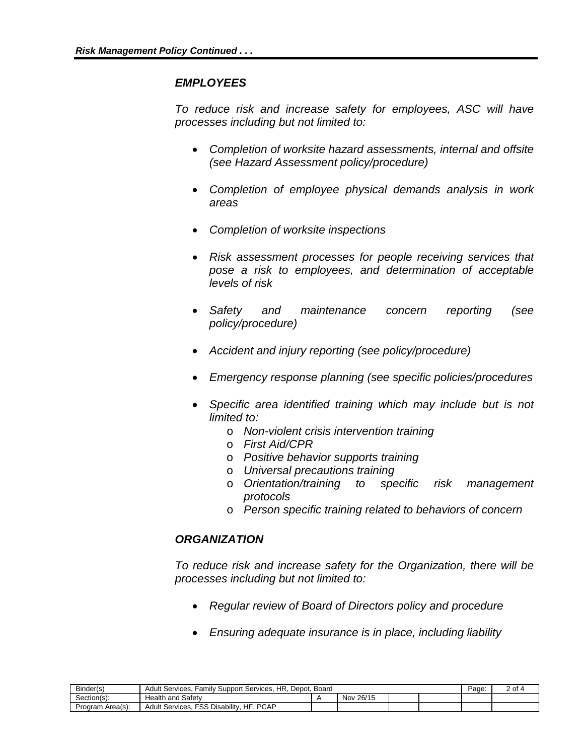## *EMPLOYEES*

*To reduce risk and increase safety for employees, ASC will have processes including but not limited to:*

- *Completion of worksite hazard assessments, internal and offsite (see Hazard Assessment policy/procedure)*
- *Completion of employee physical demands analysis in work areas*
- *Completion of worksite inspections*
- *Risk assessment processes for people receiving services that pose a risk to employees, and determination of acceptable levels of risk*
- *Safety and maintenance concern reporting (see policy/procedure)*
- *Accident and injury reporting (see policy/procedure)*
- *Emergency response planning (see specific policies/procedures*
- *Specific area identified training which may include but is not limited to:*
	- o *Non-violent crisis intervention training*
	- o *First Aid/CPR*
	- o *Positive behavior supports training*
	-
	- o *Universal precautions training* o *Orientation/training to specific risk management protocols*
	- o *Person specific training related to behaviors of concern*

## *ORGANIZATION*

*To reduce risk and increase safety for the Organization, there will be processes including but not limited to:*

- *Regular review of Board of Directors policy and procedure*
- *Ensuring adequate insurance is in place, including liability*

| Binder(s)        | <b>Adult Services.</b><br>HR.<br>: Services.<br>Board<br>Familv Support<br>Depot. |  |              |  |  | Page. | . of |
|------------------|-----------------------------------------------------------------------------------|--|--------------|--|--|-------|------|
| Section(s):      | <b>Health and Safety</b>                                                          |  | 26/15<br>Nov |  |  |       |      |
| Program Area(s): | <b>PCAP</b><br><b>FSS Disability.</b><br>HF<br><b>Adult Services.</b>             |  |              |  |  |       |      |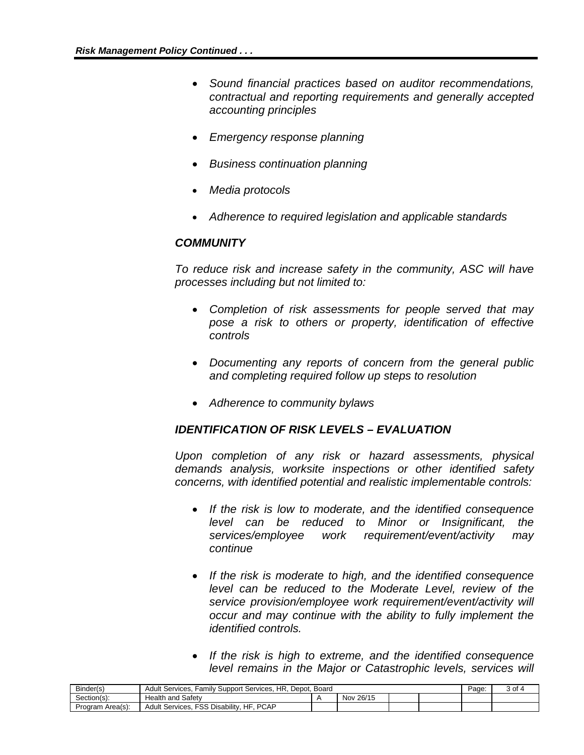- *Sound financial practices based on auditor recommendations, contractual and reporting requirements and generally accepted accounting principles*
- *Emergency response planning*
- *Business continuation planning*
- *Media protocols*
- *Adherence to required legislation and applicable standards*

## *COMMUNITY*

*To reduce risk and increase safety in the community, ASC will have processes including but not limited to:*

- *Completion of risk assessments for people served that may pose a risk to others or property, identification of effective controls*
- *Documenting any reports of concern from the general public and completing required follow up steps to resolution*
- *Adherence to community bylaws*

## *IDENTIFICATION OF RISK LEVELS – EVALUATION*

*Upon completion of any risk or hazard assessments, physical demands analysis, worksite inspections or other identified safety concerns, with identified potential and realistic implementable controls:* 

- *If the risk is low to moderate, and the identified consequence level can be reduced to Minor or Insignificant, the services/employee work requirement/event/activity may continue*
- *If the risk is moderate to high, and the identified consequence level can be reduced to the Moderate Level, review of the service provision/employee work requirement/event/activity will occur and may continue with the ability to fully implement the identified controls.*
- *If the risk is high to extreme, and the identified consequence level remains in the Major or Catastrophic levels, services will*

| Binder(s)        | Family Support Services, HR, Depot, Board<br>Adult Services. F     |  |           |  |  | Page: | 3 of |
|------------------|--------------------------------------------------------------------|--|-----------|--|--|-------|------|
| Section(s):      | <b>Health and Safety</b>                                           |  | Nov 26/15 |  |  |       |      |
| Program Area(s): | <b>PCAP</b><br>. FSS Disabilitv.<br>HF<br><b>Adult Services. F</b> |  |           |  |  |       |      |